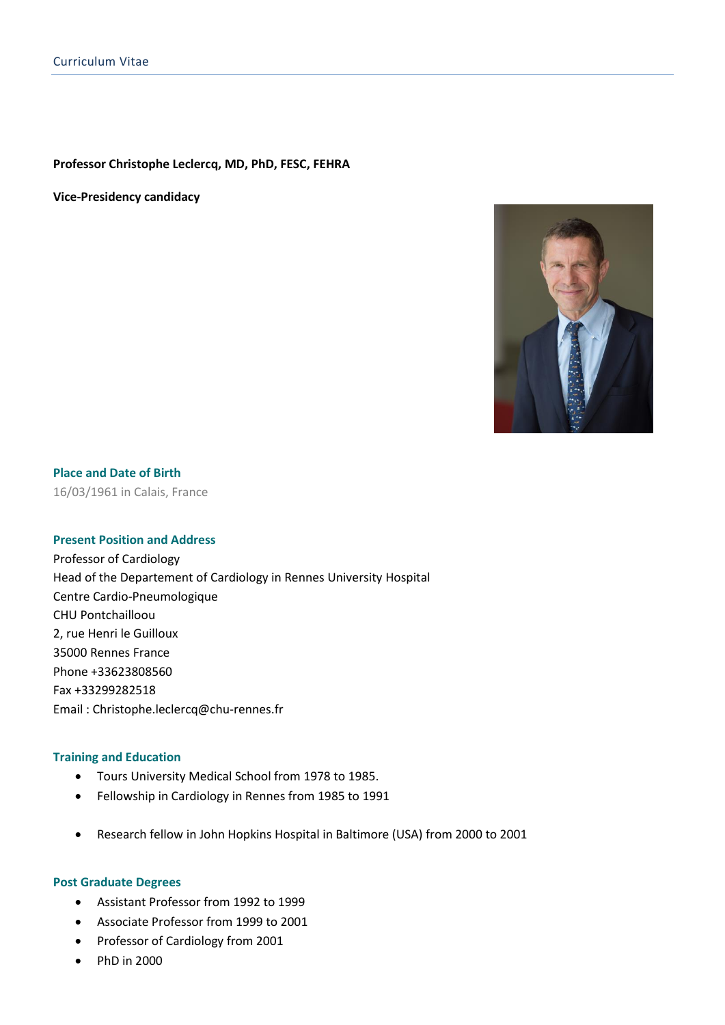#### **Professor Christophe Leclercq, MD, PhD, FESC, FEHRA**

**Vice-Presidency candidacy**



# **Place and Date of Birth**

16/03/1961 in Calais, France

## **Present Position and Address**

Professor of Cardiology Head of the Departement of Cardiology in Rennes University Hospital Centre Cardio-Pneumologique CHU Pontchailloou 2, rue Henri le Guilloux 35000 Rennes France Phone +33623808560 Fax +33299282518 Email : Christophe.leclercq@chu-rennes.fr

## **Training and Education**

- Tours University Medical School from 1978 to 1985.
- Fellowship in Cardiology in Rennes from 1985 to 1991
- Research fellow in John Hopkins Hospital in Baltimore (USA) from 2000 to 2001

#### **Post Graduate Degrees**

- Assistant Professor from 1992 to 1999
- Associate Professor from 1999 to 2001
- Professor of Cardiology from 2001
- PhD in 2000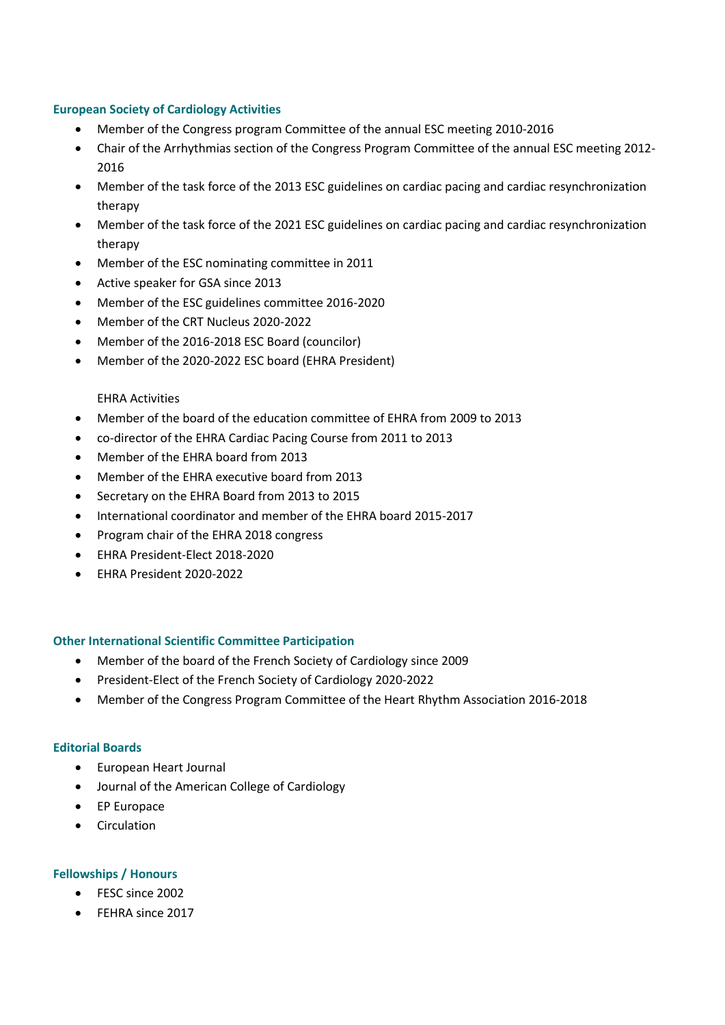## **European Society of Cardiology Activities**

- Member of the Congress program Committee of the annual ESC meeting 2010-2016
- Chair of the Arrhythmias section of the Congress Program Committee of the annual ESC meeting 2012- 2016
- Member of the task force of the 2013 ESC guidelines on cardiac pacing and cardiac resynchronization therapy
- Member of the task force of the 2021 ESC guidelines on cardiac pacing and cardiac resynchronization therapy
- Member of the ESC nominating committee in 2011
- Active speaker for GSA since 2013
- Member of the ESC guidelines committee 2016-2020
- Member of the CRT Nucleus 2020-2022
- Member of the 2016-2018 ESC Board (councilor)
- Member of the 2020-2022 ESC board (EHRA President)

### EHRA Activities

- Member of the board of the education committee of EHRA from 2009 to 2013
- co-director of the EHRA Cardiac Pacing Course from 2011 to 2013
- Member of the EHRA board from 2013
- Member of the EHRA executive board from 2013
- Secretary on the EHRA Board from 2013 to 2015
- International coordinator and member of the EHRA board 2015-2017
- Program chair of the EHRA 2018 congress
- EHRA President-Elect 2018-2020
- EHRA President 2020-2022

#### **Other International Scientific Committee Participation**

- Member of the board of the French Society of Cardiology since 2009
- President-Elect of the French Society of Cardiology 2020-2022
- Member of the Congress Program Committee of the Heart Rhythm Association 2016-2018

#### **Editorial Boards**

- European Heart Journal
- Journal of the American College of Cardiology
- EP Europace
- Circulation

#### **Fellowships / Honours**

- FESC since 2002
- FEHRA since 2017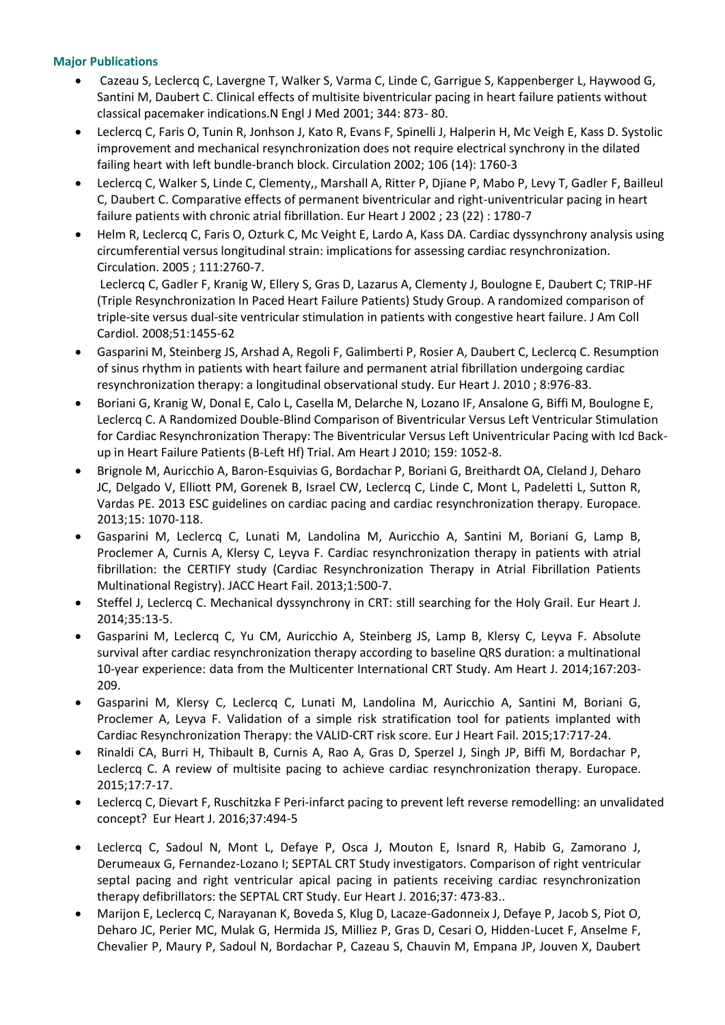## **Major Publications**

- Cazeau S, Leclercq C, Lavergne T, Walker S, Varma C, Linde C, Garrigue S, Kappenberger L, Haywood G, Santini M, Daubert C. Clinical effects of multisite biventricular pacing in heart failure patients without classical pacemaker indications.N Engl J Med 2001; 344: 873- 80.
- Leclercq C, Faris O, Tunin R, Jonhson J, Kato R, Evans F, Spinelli J, Halperin H, Mc Veigh E, Kass D. Systolic improvement and mechanical resynchronization does not require electrical synchrony in the dilated failing heart with left bundle-branch block. Circulation 2002; 106 (14): 1760-3
- Leclercq C, Walker S, Linde C, Clementy,, Marshall A, Ritter P, Djiane P, Mabo P, Levy T, Gadler F, Bailleul C, Daubert C. Comparative effects of permanent biventricular and right-univentricular pacing in heart failure patients with chronic atrial fibrillation. Eur Heart J 2002 ; 23 (22) : 1780-7
- Helm R, Leclercq C, Faris O, Ozturk C, Mc Veight E, Lardo A, Kass DA. Cardiac dyssynchrony analysis using circumferential versus longitudinal strain: implications for assessing cardiac resynchronization. Circulation. 2005 ; 111:2760-7.

Leclercq C, Gadler F, Kranig W, Ellery S, Gras D, Lazarus A, Clementy J, Boulogne E, Daubert C; TRIP-HF (Triple Resynchronization In Paced Heart Failure Patients) Study Group. A randomized comparison of triple-site versus dual-site ventricular stimulation in patients with congestive heart failure. J Am Coll Cardiol. 2008;51:1455-62

- Gasparini M, Steinberg JS, Arshad A, Regoli F, Galimberti P, Rosier A, Daubert C, Leclercq C. Resumption of sinus rhythm in patients with heart failure and permanent atrial fibrillation undergoing cardiac resynchronization therapy: a longitudinal observational study. Eur Heart J. 2010 ; 8:976-83.
- Boriani G, Kranig W, Donal E, Calo L, Casella M, Delarche N, Lozano IF, Ansalone G, Biffi M, Boulogne E, Leclercq C. A Randomized Double-Blind Comparison of Biventricular Versus Left Ventricular Stimulation for Cardiac Resynchronization Therapy: The Biventricular Versus Left Univentricular Pacing with Icd Backup in Heart Failure Patients (B-Left Hf) Trial. Am Heart J 2010; 159: 1052-8.
- Brignole M, Auricchio A, Baron-Esquivias G, Bordachar P, Boriani G, Breithardt OA, Cleland J, Deharo JC, Delgado V, Elliott PM, Gorenek B, Israel CW, Leclercq C, Linde C, Mont L, Padeletti L, Sutton R, Vardas PE. [2013 ESC guidelines on cardiac pacing and cardiac resynchronization therapy.](http://www.ncbi.nlm.nih.gov/pubmed/23801827) Europace. 2013;15: 1070-118.
- Gasparini M, Leclercq C, Lunati M, Landolina M, Auricchio A, Santini M, Boriani G, Lamp B, Proclemer A, Curnis A, Klersy C, Leyva F. [Cardiac resynchronization therapy in patients with atrial](http://www.ncbi.nlm.nih.gov/pubmed/24622002)  [fibrillation: the CERTIFY study \(Cardiac Resynchronization Therapy in Atrial Fibrillation Patients](http://www.ncbi.nlm.nih.gov/pubmed/24622002)  [Multinational Registry\).](http://www.ncbi.nlm.nih.gov/pubmed/24622002) JACC Heart Fail. 2013;1:500-7.
- Steffel J, Leclercq C. [Mechanical dyssynchrony in CRT: still searching for the Holy Grail.](http://www.ncbi.nlm.nih.gov/pubmed/24046436) Eur Heart J. 2014;35:13-5.
- Gasparini M, Leclercq C, Yu CM, Auricchio A, Steinberg JS, Lamp B, Klersy C, Leyva F. [Absolute](http://www.ncbi.nlm.nih.gov/pubmed/24439981)  [survival after cardiac resynchronization therapy according to baseline QRS duration: a multinational](http://www.ncbi.nlm.nih.gov/pubmed/24439981)  [10-year experience: data from the Multicenter International CRT Study.](http://www.ncbi.nlm.nih.gov/pubmed/24439981) Am Heart J. 2014;167:203- 209.
- Gasparini M, Klersy C, Leclercq C, Lunati M, Landolina M, Auricchio A, Santini M, Boriani G, Proclemer A, Leyva F. [Validation of a simple risk stratification tool for patients implanted with](http://www.ncbi.nlm.nih.gov/pubmed/25903349)  [Cardiac Resynchronization Therapy: the VALID-CRT risk score.](http://www.ncbi.nlm.nih.gov/pubmed/25903349) Eur J Heart Fail. 2015;17:717-24.
- Rinaldi CA, Burri H, Thibault B, Curnis A, Rao A, Gras D, Sperzel J, Singh JP, Biffi M, Bordachar P, Leclercq C. [A review of multisite pacing to achieve cardiac resynchronization therapy.](http://www.ncbi.nlm.nih.gov/pubmed/25214507) Europace. 2015;17:7-17.
- Leclercq C, Dievart F, Ruschitzka F [Peri-infarct pacing to prevent left reverse remodelling: an unvalidated](http://www.ncbi.nlm.nih.gov/pubmed/26508164)  [concept?](http://www.ncbi.nlm.nih.gov/pubmed/26508164) Eur Heart J. 2016;37:494-5
- Leclercq C, Sadoul N, Mont L, Defaye P, Osca J, Mouton E, Isnard R, Habib G, Zamorano J, Derumeaux G, Fernandez-Lozano I; SEPTAL CRT Study investigators. [Comparison of right ventricular](http://www.ncbi.nlm.nih.gov/pubmed/26374852)  [septal pacing and right ventricular apical pacing in patients receiving cardiac resynchronization](http://www.ncbi.nlm.nih.gov/pubmed/26374852)  [therapy defibrillators: the SEPTAL CRT Study.](http://www.ncbi.nlm.nih.gov/pubmed/26374852) Eur Heart J. 2016;37: 473-83..
- Marijon E, Leclercq C, Narayanan K, Boveda S, Klug D, Lacaze-Gadonneix J, Defaye P, Jacob S, Piot O, Deharo JC, Perier MC, Mulak G, Hermida JS, Milliez P, Gras D, Cesari O, Hidden-Lucet F, Anselme F, Chevalier P, Maury P, Sadoul N, Bordachar P, Cazeau S, Chauvin M, Empana JP, Jouven X, Daubert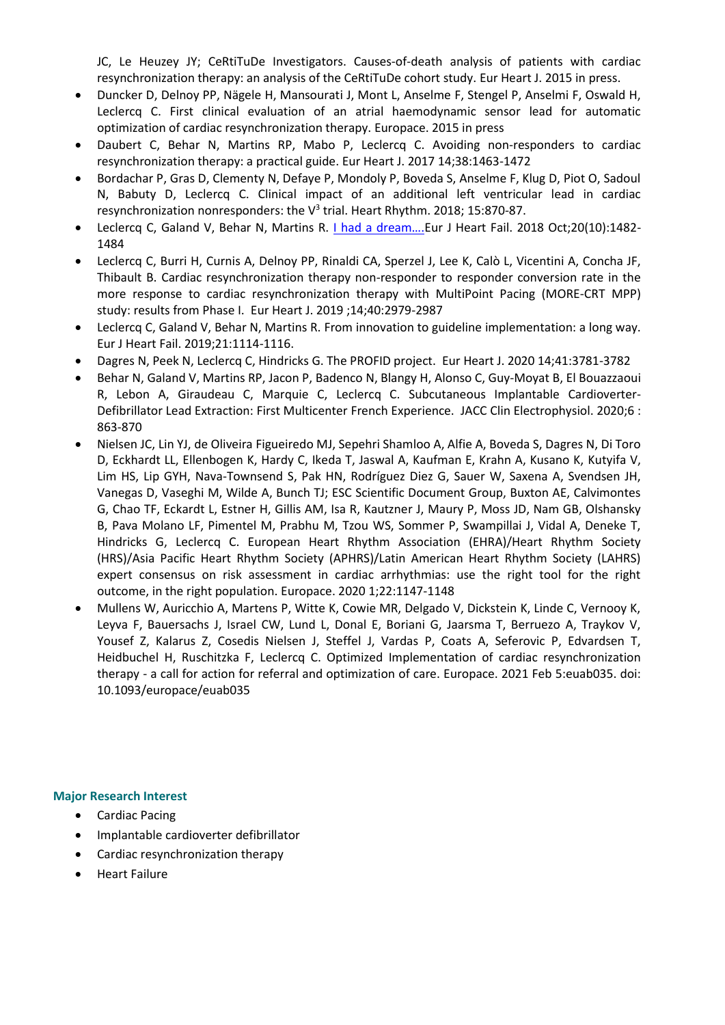JC, Le Heuzey JY; CeRtiTuDe Investigators. [Causes-of-death analysis of patients with cardiac](http://www.ncbi.nlm.nih.gov/pubmed/26330420)  [resynchronization therapy: an analysis of the CeRtiTuDe cohort study.](http://www.ncbi.nlm.nih.gov/pubmed/26330420) Eur Heart J. 2015 in press.

- Duncker D, Delnoy PP, Nägele H, Mansourati J, Mont L, Anselme F, Stengel P, Anselmi F, Oswald H, Leclercq C. [First clinical evaluation of an atrial haemodynamic sensor lead for automatic](http://www.ncbi.nlm.nih.gov/pubmed/25976907)  [optimization of cardiac resynchronization therapy.](http://www.ncbi.nlm.nih.gov/pubmed/25976907) Europace. 2015 in press
- Daubert C, Behar N, Martins RP, Mabo P, Leclercq C. [Avoiding non-responders to cardiac](https://www.ncbi.nlm.nih.gov/pubmed/27371720)  [resynchronization therapy: a practical guide.](https://www.ncbi.nlm.nih.gov/pubmed/27371720) Eur Heart J. 2017 14;38:1463-1472
- Bordachar P, Gras D, Clementy N, Defaye P, Mondoly P, Boveda S, Anselme F, Klug D, Piot O, Sadoul N, Babuty D, Leclercq C. [Clinical impact of an additional left ventricular lead in cardiac](https://www.ncbi.nlm.nih.gov/pubmed/29288035)  [resynchronization nonresponders: the V](https://www.ncbi.nlm.nih.gov/pubmed/29288035)<sup>3</sup> trial. Heart Rhythm. 2018; 15:870-87.
- Leclercq C, Galand V, Behar N, Martins R. [I had a dream….](https://www.ncbi.nlm.nih.gov/pubmed/29952058)Eur J Heart Fail. 2018 Oct;20(10):1482- 1484
- Leclercq C, Burri H, Curnis A, Delnoy PP, Rinaldi CA, Sperzel J, Lee K, Calò L, Vicentini A, Concha JF, Thibault B. [Cardiac resynchronization therapy non-responder to responder conversion rate in the](https://pubmed.ncbi.nlm.nih.gov/30859220/)  [more response to cardiac resynchronization therapy with MultiPoint Pacing \(MORE-CRT MPP\)](https://pubmed.ncbi.nlm.nih.gov/30859220/)  [study: results from Phase I. E](https://pubmed.ncbi.nlm.nih.gov/30859220/)ur Heart J. 2019 ;14;40:2979-2987
- Leclercq C, Galand V, Behar N, Martins R. [From innovation to guideline](https://pubmed.ncbi.nlm.nih.gov/31407843/) implementation: a long way. Eur J Heart Fail. 2019;21:1114-1116.
- Dagres N, Peek N, Leclercq C, Hindricks G. [The PROFID project.](https://pubmed.ncbi.nlm.nih.gov/32949462/) Eur Heart J. 2020 14;41:3781-3782
- Behar N, Galand V, Martins RP, Jacon P, Badenco N, Blangy H, Alonso C, Guy-Moyat B, El Bouazzaoui R, Lebon A, Giraudeau C, Marquie C, Leclercq C. [Subcutaneous Implantable Cardioverter-](https://pubmed.ncbi.nlm.nih.gov/32703570/)[Defibrillator Lead Extraction: First Multicenter](https://pubmed.ncbi.nlm.nih.gov/32703570/) French Experience. JACC Clin Electrophysiol. 2020;6 : 863-870
- Nielsen JC, Lin YJ, de Oliveira Figueiredo MJ, Sepehri Shamloo A, Alfie A, Boveda S, Dagres N, Di Toro D, Eckhardt LL, Ellenbogen K, Hardy C, Ikeda T, Jaswal A, Kaufman E, Krahn A, Kusano K, Kutyifa V, Lim HS, Lip GYH, Nava-Townsend S, Pak HN, Rodríguez Diez G, Sauer W, Saxena A, Svendsen JH, Vanegas D, Vaseghi M, Wilde A, Bunch TJ; ESC Scientific Document Group, Buxton AE, Calvimontes G, Chao TF, Eckardt L, Estner H, Gillis AM, Isa R, Kautzner J, Maury P, Moss JD, Nam GB, Olshansky B, Pava Molano LF, Pimentel M, Prabhu M, Tzou WS, Sommer P, Swampillai J, Vidal A, Deneke T, Hindricks G, Leclercq C. [European Heart Rhythm Association \(EHRA\)/Heart Rhythm Society](https://pubmed.ncbi.nlm.nih.gov/32538434/)  [\(HRS\)/Asia Pacific Heart Rhythm Society \(APHRS\)/Latin American Heart Rhythm Society \(LAHRS\)](https://pubmed.ncbi.nlm.nih.gov/32538434/)  [expert consensus on risk assessment in cardiac arrhythmias: use the right tool for the right](https://pubmed.ncbi.nlm.nih.gov/32538434/)  [outcome, in the right population. E](https://pubmed.ncbi.nlm.nih.gov/32538434/)uropace. 2020 1;22:1147-1148
- Mullens W, Auricchio A, Martens P, Witte K, Cowie MR, Delgado V, Dickstein K, Linde C, Vernooy K, Leyva F, Bauersachs J, Israel CW, Lund L, Donal E, Boriani G, Jaarsma T, Berruezo A, Traykov V, Yousef Z, Kalarus Z, Cosedis Nielsen J, Steffel J, Vardas P, Coats A, Seferovic P, Edvardsen T, Heidbuchel H, Ruschitzka F, Leclercq C. [Optimized Implementation of cardiac resynchronization](https://pubmed.ncbi.nlm.nih.gov/33544835/)  therapy - [a call for action for referral and optimization of care. E](https://pubmed.ncbi.nlm.nih.gov/33544835/)uropace. 2021 Feb 5:euab035. doi: 10.1093/europace/euab035

## **Major Research Interest**

- Cardiac Pacing
- Implantable cardioverter defibrillator
- Cardiac resynchronization therapy
- Heart Failure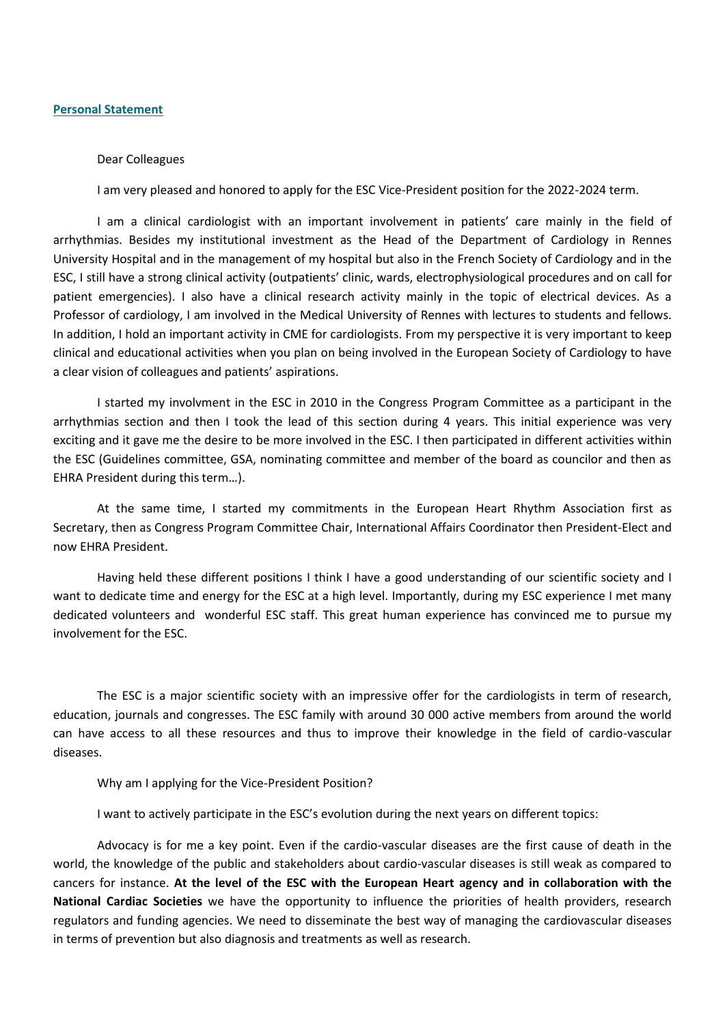#### **Personal Statement**

#### Dear Colleagues

I am very pleased and honored to apply for the ESC Vice-President position for the 2022-2024 term.

I am a clinical cardiologist with an important involvement in patients' care mainly in the field of arrhythmias. Besides my institutional investment as the Head of the Department of Cardiology in Rennes University Hospital and in the management of my hospital but also in the French Society of Cardiology and in the ESC, I still have a strong clinical activity (outpatients' clinic, wards, electrophysiological procedures and on call for patient emergencies). I also have a clinical research activity mainly in the topic of electrical devices. As a Professor of cardiology, I am involved in the Medical University of Rennes with lectures to students and fellows. In addition, I hold an important activity in CME for cardiologists. From my perspective it is very important to keep clinical and educational activities when you plan on being involved in the European Society of Cardiology to have a clear vision of colleagues and patients' aspirations.

I started my involvment in the ESC in 2010 in the Congress Program Committee as a participant in the arrhythmias section and then I took the lead of this section during 4 years. This initial experience was very exciting and it gave me the desire to be more involved in the ESC. I then participated in different activities within the ESC (Guidelines committee, GSA, nominating committee and member of the board as councilor and then as EHRA President during this term…).

At the same time, I started my commitments in the European Heart Rhythm Association first as Secretary, then as Congress Program Committee Chair, International Affairs Coordinator then President-Elect and now EHRA President.

Having held these different positions I think I have a good understanding of our scientific society and I want to dedicate time and energy for the ESC at a high level. Importantly, during my ESC experience I met many dedicated volunteers and wonderful ESC staff. This great human experience has convinced me to pursue my involvement for the ESC.

The ESC is a major scientific society with an impressive offer for the cardiologists in term of research, education, journals and congresses. The ESC family with around 30 000 active members from around the world can have access to all these resources and thus to improve their knowledge in the field of cardio-vascular diseases.

Why am I applying for the Vice-President Position?

I want to actively participate in the ESC's evolution during the next years on different topics:

Advocacy is for me a key point. Even if the cardio-vascular diseases are the first cause of death in the world, the knowledge of the public and stakeholders about cardio-vascular diseases is still weak as compared to cancers for instance. **At the level of the ESC with the European Heart agency and in collaboration with the National Cardiac Societies** we have the opportunity to influence the priorities of health providers, research regulators and funding agencies. We need to disseminate the best way of managing the cardiovascular diseases in terms of prevention but also diagnosis and treatments as well as research.